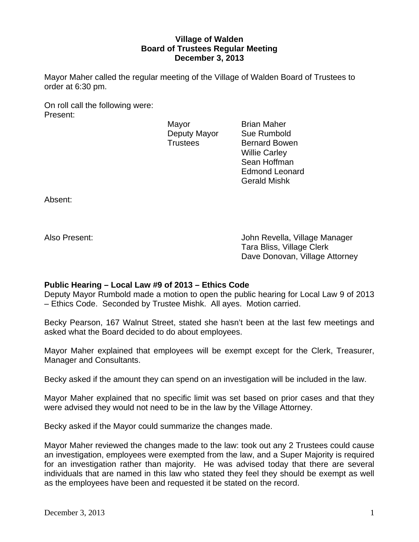## **Village of Walden Board of Trustees Regular Meeting December 3, 2013**

Mayor Maher called the regular meeting of the Village of Walden Board of Trustees to order at 6:30 pm.

On roll call the following were: Present:

Mayor **Brian Maher** Deputy Mayor Sue Rumbold

Trustees Bernard Bowen Willie Carley Sean Hoffman Edmond Leonard Gerald Mishk

Absent:

Also Present: John Revella, Village Manager Tara Bliss, Village Clerk Dave Donovan, Village Attorney

## **Public Hearing – Local Law #9 of 2013 – Ethics Code**

Deputy Mayor Rumbold made a motion to open the public hearing for Local Law 9 of 2013 – Ethics Code. Seconded by Trustee Mishk. All ayes. Motion carried.

Becky Pearson, 167 Walnut Street, stated she hasn't been at the last few meetings and asked what the Board decided to do about employees.

Mayor Maher explained that employees will be exempt except for the Clerk, Treasurer, Manager and Consultants.

Becky asked if the amount they can spend on an investigation will be included in the law.

Mayor Maher explained that no specific limit was set based on prior cases and that they were advised they would not need to be in the law by the Village Attorney.

Becky asked if the Mayor could summarize the changes made.

Mayor Maher reviewed the changes made to the law: took out any 2 Trustees could cause an investigation, employees were exempted from the law, and a Super Majority is required for an investigation rather than majority. He was advised today that there are several individuals that are named in this law who stated they feel they should be exempt as well as the employees have been and requested it be stated on the record.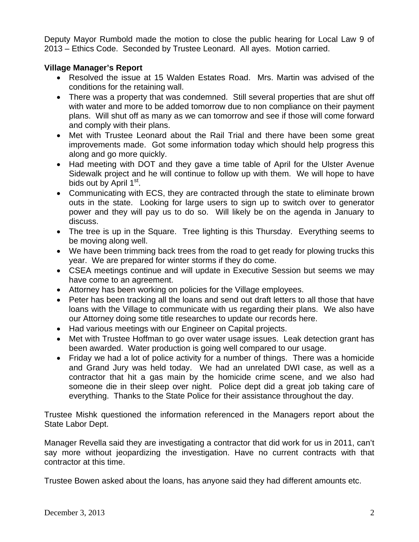Deputy Mayor Rumbold made the motion to close the public hearing for Local Law 9 of 2013 – Ethics Code. Seconded by Trustee Leonard. All ayes. Motion carried.

## **Village Manager's Report**

- Resolved the issue at 15 Walden Estates Road. Mrs. Martin was advised of the conditions for the retaining wall.
- There was a property that was condemned. Still several properties that are shut off with water and more to be added tomorrow due to non compliance on their payment plans. Will shut off as many as we can tomorrow and see if those will come forward and comply with their plans.
- Met with Trustee Leonard about the Rail Trial and there have been some great improvements made. Got some information today which should help progress this along and go more quickly.
- Had meeting with DOT and they gave a time table of April for the Ulster Avenue Sidewalk project and he will continue to follow up with them. We will hope to have bids out by April 1<sup>st</sup>.
- Communicating with ECS, they are contracted through the state to eliminate brown outs in the state. Looking for large users to sign up to switch over to generator power and they will pay us to do so. Will likely be on the agenda in January to discuss.
- The tree is up in the Square. Tree lighting is this Thursday. Everything seems to be moving along well.
- We have been trimming back trees from the road to get ready for plowing trucks this year. We are prepared for winter storms if they do come.
- CSEA meetings continue and will update in Executive Session but seems we may have come to an agreement.
- Attorney has been working on policies for the Village employees.
- Peter has been tracking all the loans and send out draft letters to all those that have loans with the Village to communicate with us regarding their plans. We also have our Attorney doing some title researches to update our records here.
- Had various meetings with our Engineer on Capital projects.
- Met with Trustee Hoffman to go over water usage issues. Leak detection grant has been awarded. Water production is going well compared to our usage.
- Friday we had a lot of police activity for a number of things. There was a homicide and Grand Jury was held today. We had an unrelated DWI case, as well as a contractor that hit a gas main by the homicide crime scene, and we also had someone die in their sleep over night. Police dept did a great job taking care of everything. Thanks to the State Police for their assistance throughout the day.

Trustee Mishk questioned the information referenced in the Managers report about the State Labor Dept.

Manager Revella said they are investigating a contractor that did work for us in 2011, can't say more without jeopardizing the investigation. Have no current contracts with that contractor at this time.

Trustee Bowen asked about the loans, has anyone said they had different amounts etc.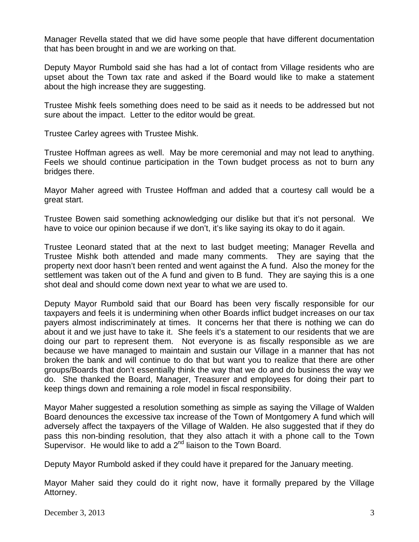Manager Revella stated that we did have some people that have different documentation that has been brought in and we are working on that.

Deputy Mayor Rumbold said she has had a lot of contact from Village residents who are upset about the Town tax rate and asked if the Board would like to make a statement about the high increase they are suggesting.

Trustee Mishk feels something does need to be said as it needs to be addressed but not sure about the impact. Letter to the editor would be great.

Trustee Carley agrees with Trustee Mishk.

Trustee Hoffman agrees as well. May be more ceremonial and may not lead to anything. Feels we should continue participation in the Town budget process as not to burn any bridges there.

Mayor Maher agreed with Trustee Hoffman and added that a courtesy call would be a great start.

Trustee Bowen said something acknowledging our dislike but that it's not personal. We have to voice our opinion because if we don't, it's like saying its okay to do it again.

Trustee Leonard stated that at the next to last budget meeting; Manager Revella and Trustee Mishk both attended and made many comments. They are saying that the property next door hasn't been rented and went against the A fund. Also the money for the settlement was taken out of the A fund and given to B fund. They are saying this is a one shot deal and should come down next year to what we are used to.

Deputy Mayor Rumbold said that our Board has been very fiscally responsible for our taxpayers and feels it is undermining when other Boards inflict budget increases on our tax payers almost indiscriminately at times. It concerns her that there is nothing we can do about it and we just have to take it. She feels it's a statement to our residents that we are doing our part to represent them. Not everyone is as fiscally responsible as we are because we have managed to maintain and sustain our Village in a manner that has not broken the bank and will continue to do that but want you to realize that there are other groups/Boards that don't essentially think the way that we do and do business the way we do. She thanked the Board, Manager, Treasurer and employees for doing their part to keep things down and remaining a role model in fiscal responsibility.

Mayor Maher suggested a resolution something as simple as saying the Village of Walden Board denounces the excessive tax increase of the Town of Montgomery A fund which will adversely affect the taxpayers of the Village of Walden. He also suggested that if they do pass this non-binding resolution, that they also attach it with a phone call to the Town Supervisor. He would like to add a 2<sup>nd</sup> liaison to the Town Board.

Deputy Mayor Rumbold asked if they could have it prepared for the January meeting.

Mayor Maher said they could do it right now, have it formally prepared by the Village Attorney.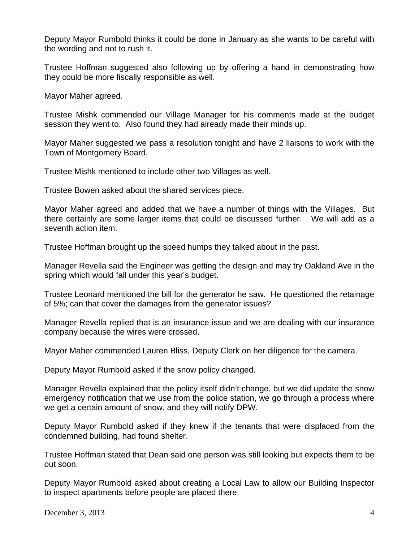Deputy Mayor Rumbold thinks it could be done in January as she wants to be careful with the wording and not to rush it.

Trustee Hoffman suggested also following up by offering a hand in demonstrating how they could be more fiscally responsible as well.

Mayor Maher agreed.

Trustee Mishk commended our Village Manager for his comments made at the budget session they went to. Also found they had already made their minds up.

Mayor Maher suggested we pass a resolution tonight and have 2 liaisons to work with the Town of Montgomery Board.

Trustee Mishk mentioned to include other two Villages as well.

Trustee Bowen asked about the shared services piece.

Mayor Maher agreed and added that we have a number of things with the Villages. But there certainly are some larger items that could be discussed further. We will add as a seventh action item.

Trustee Hoffman brought up the speed humps they talked about in the past.

Manager Revella said the Engineer was getting the design and may try Oakland Ave in the spring which would fall under this year's budget.

Trustee Leonard mentioned the bill for the generator he saw. He questioned the retainage of 5%; can that cover the damages from the generator issues?

Manager Revella replied that is an insurance issue and we are dealing with our insurance company because the wires were crossed.

Mayor Maher commended Lauren Bliss, Deputy Clerk on her diligence for the camera.

Deputy Mayor Rumbold asked if the snow policy changed.

Manager Revella explained that the policy itself didn't change, but we did update the snow emergency notification that we use from the police station, we go through a process where we get a certain amount of snow, and they will notify DPW.

Deputy Mayor Rumbold asked if they knew if the tenants that were displaced from the condemned building, had found shelter.

Trustee Hoffman stated that Dean said one person was still looking but expects them to be out soon.

Deputy Mayor Rumbold asked about creating a Local Law to allow our Building Inspector to inspect apartments before people are placed there.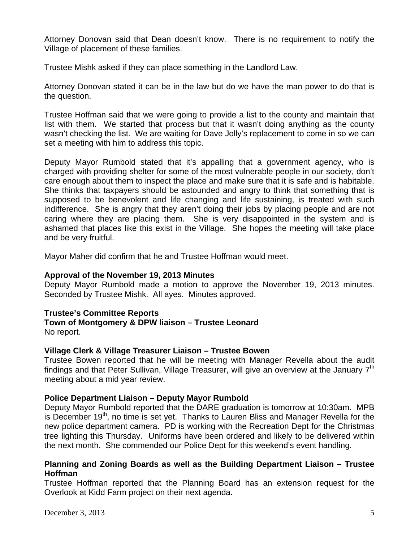Attorney Donovan said that Dean doesn't know. There is no requirement to notify the Village of placement of these families.

Trustee Mishk asked if they can place something in the Landlord Law.

Attorney Donovan stated it can be in the law but do we have the man power to do that is the question.

Trustee Hoffman said that we were going to provide a list to the county and maintain that list with them. We started that process but that it wasn't doing anything as the county wasn't checking the list. We are waiting for Dave Jolly's replacement to come in so we can set a meeting with him to address this topic.

Deputy Mayor Rumbold stated that it's appalling that a government agency, who is charged with providing shelter for some of the most vulnerable people in our society, don't care enough about them to inspect the place and make sure that it is safe and is habitable. She thinks that taxpayers should be astounded and angry to think that something that is supposed to be benevolent and life changing and life sustaining, is treated with such indifference. She is angry that they aren't doing their jobs by placing people and are not caring where they are placing them. She is very disappointed in the system and is ashamed that places like this exist in the Village. She hopes the meeting will take place and be very fruitful.

Mayor Maher did confirm that he and Trustee Hoffman would meet.

#### **Approval of the November 19, 2013 Minutes**

Deputy Mayor Rumbold made a motion to approve the November 19, 2013 minutes. Seconded by Trustee Mishk. All ayes. Minutes approved.

## **Trustee's Committee Reports**

## **Town of Montgomery & DPW liaison – Trustee Leonard**

No report.

## **Village Clerk & Village Treasurer Liaison – Trustee Bowen**

Trustee Bowen reported that he will be meeting with Manager Revella about the audit findings and that Peter Sullivan, Village Treasurer, will give an overview at the January  $7<sup>th</sup>$ meeting about a mid year review.

## **Police Department Liaison – Deputy Mayor Rumbold**

Deputy Mayor Rumbold reported that the DARE graduation is tomorrow at 10:30am. MPB is December 19<sup>th</sup>, no time is set yet. Thanks to Lauren Bliss and Manager Revella for the new police department camera. PD is working with the Recreation Dept for the Christmas tree lighting this Thursday. Uniforms have been ordered and likely to be delivered within the next month. She commended our Police Dept for this weekend's event handling.

#### **Planning and Zoning Boards as well as the Building Department Liaison – Trustee Hoffman**

Trustee Hoffman reported that the Planning Board has an extension request for the Overlook at Kidd Farm project on their next agenda.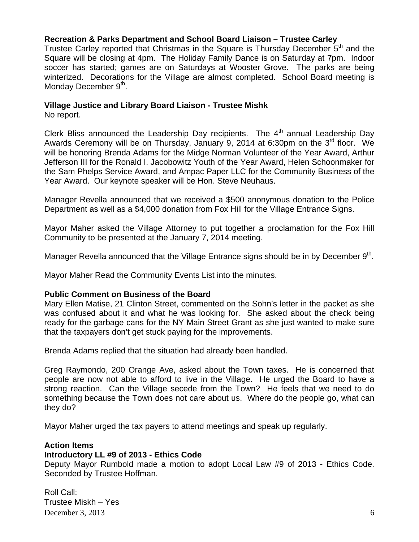# **Recreation & Parks Department and School Board Liaison – Trustee Carley**

Trustee Carley reported that Christmas in the Square is Thursday December 5<sup>th</sup> and the Square will be closing at 4pm. The Holiday Family Dance is on Saturday at 7pm. Indoor soccer has started; games are on Saturdays at Wooster Grove. The parks are being winterized. Decorations for the Village are almost completed. School Board meeting is Monday December 9<sup>th</sup>.

## **Village Justice and Library Board Liaison - Trustee Mishk**

No report.

Clerk Bliss announced the Leadership Day recipients. The  $4<sup>th</sup>$  annual Leadership Day Awards Ceremony will be on Thursday, January 9, 2014 at 6:30pm on the  $3^{rd}$  floor. We will be honoring Brenda Adams for the Midge Norman Volunteer of the Year Award, Arthur Jefferson III for the Ronald I. Jacobowitz Youth of the Year Award, Helen Schoonmaker for the Sam Phelps Service Award, and Ampac Paper LLC for the Community Business of the Year Award. Our keynote speaker will be Hon. Steve Neuhaus.

Manager Revella announced that we received a \$500 anonymous donation to the Police Department as well as a \$4,000 donation from Fox Hill for the Village Entrance Signs.

Mayor Maher asked the Village Attorney to put together a proclamation for the Fox Hill Community to be presented at the January 7, 2014 meeting.

Manager Revella announced that the Village Entrance signs should be in by December  $9<sup>th</sup>$ .

Mayor Maher Read the Community Events List into the minutes.

## **Public Comment on Business of the Board**

Mary Ellen Matise, 21 Clinton Street, commented on the Sohn's letter in the packet as she was confused about it and what he was looking for. She asked about the check being ready for the garbage cans for the NY Main Street Grant as she just wanted to make sure that the taxpayers don't get stuck paying for the improvements.

Brenda Adams replied that the situation had already been handled.

Greg Raymondo, 200 Orange Ave, asked about the Town taxes. He is concerned that people are now not able to afford to live in the Village. He urged the Board to have a strong reaction. Can the Village secede from the Town? He feels that we need to do something because the Town does not care about us. Where do the people go, what can they do?

Mayor Maher urged the tax payers to attend meetings and speak up regularly.

## **Action Items**

## **Introductory LL #9 of 2013 - Ethics Code**

Deputy Mayor Rumbold made a motion to adopt Local Law #9 of 2013 - Ethics Code. Seconded by Trustee Hoffman.

December 3, 2013  $\qquad \qquad$  6 Roll Call: Trustee Miskh – Yes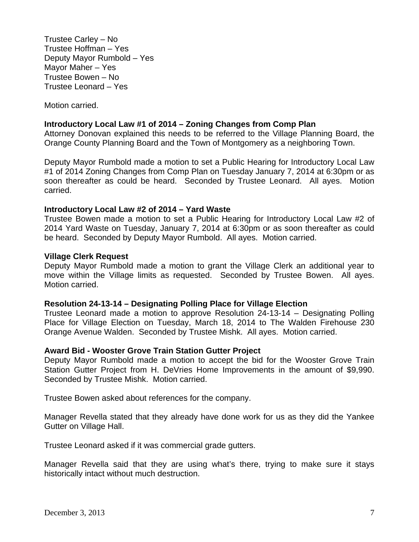Trustee Carley – No Trustee Hoffman – Yes Deputy Mayor Rumbold – Yes Mayor Maher – Yes Trustee Bowen – No Trustee Leonard – Yes

Motion carried.

#### **Introductory Local Law #1 of 2014 – Zoning Changes from Comp Plan**

Attorney Donovan explained this needs to be referred to the Village Planning Board, the Orange County Planning Board and the Town of Montgomery as a neighboring Town.

Deputy Mayor Rumbold made a motion to set a Public Hearing for Introductory Local Law #1 of 2014 Zoning Changes from Comp Plan on Tuesday January 7, 2014 at 6:30pm or as soon thereafter as could be heard. Seconded by Trustee Leonard. All ayes. Motion carried.

#### **Introductory Local Law #2 of 2014 – Yard Waste**

Trustee Bowen made a motion to set a Public Hearing for Introductory Local Law #2 of 2014 Yard Waste on Tuesday, January 7, 2014 at 6:30pm or as soon thereafter as could be heard. Seconded by Deputy Mayor Rumbold. All ayes. Motion carried.

#### **Village Clerk Request**

Deputy Mayor Rumbold made a motion to grant the Village Clerk an additional year to move within the Village limits as requested. Seconded by Trustee Bowen. All ayes. Motion carried.

#### **Resolution 24-13-14 – Designating Polling Place for Village Election**

Trustee Leonard made a motion to approve Resolution 24-13-14 – Designating Polling Place for Village Election on Tuesday, March 18, 2014 to The Walden Firehouse 230 Orange Avenue Walden. Seconded by Trustee Mishk. All ayes. Motion carried.

#### **Award Bid - Wooster Grove Train Station Gutter Project**

Deputy Mayor Rumbold made a motion to accept the bid for the Wooster Grove Train Station Gutter Project from H. DeVries Home Improvements in the amount of \$9,990. Seconded by Trustee Mishk. Motion carried.

Trustee Bowen asked about references for the company.

Manager Revella stated that they already have done work for us as they did the Yankee Gutter on Village Hall.

Trustee Leonard asked if it was commercial grade gutters.

Manager Revella said that they are using what's there, trying to make sure it stays historically intact without much destruction.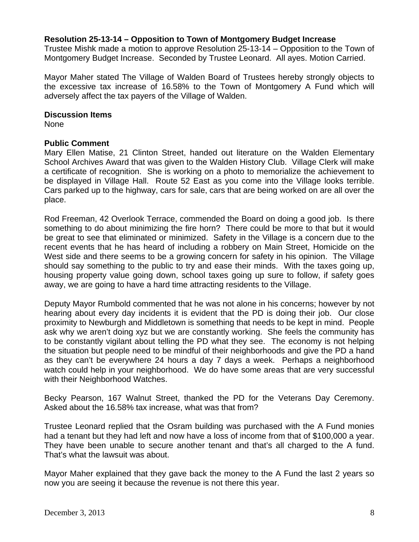#### **Resolution 25-13-14 – Opposition to Town of Montgomery Budget Increase**

Trustee Mishk made a motion to approve Resolution 25-13-14 – Opposition to the Town of Montgomery Budget Increase. Seconded by Trustee Leonard. All ayes. Motion Carried.

Mayor Maher stated The Village of Walden Board of Trustees hereby strongly objects to the excessive tax increase of 16.58% to the Town of Montgomery A Fund which will adversely affect the tax payers of the Village of Walden.

#### **Discussion Items**

None

#### **Public Comment**

Mary Ellen Matise, 21 Clinton Street, handed out literature on the Walden Elementary School Archives Award that was given to the Walden History Club. Village Clerk will make a certificate of recognition. She is working on a photo to memorialize the achievement to be displayed in Village Hall. Route 52 East as you come into the Village looks terrible. Cars parked up to the highway, cars for sale, cars that are being worked on are all over the place.

Rod Freeman, 42 Overlook Terrace, commended the Board on doing a good job. Is there something to do about minimizing the fire horn? There could be more to that but it would be great to see that eliminated or minimized. Safety in the Village is a concern due to the recent events that he has heard of including a robbery on Main Street, Homicide on the West side and there seems to be a growing concern for safety in his opinion. The Village should say something to the public to try and ease their minds. With the taxes going up, housing property value going down, school taxes going up sure to follow, if safety goes away, we are going to have a hard time attracting residents to the Village.

Deputy Mayor Rumbold commented that he was not alone in his concerns; however by not hearing about every day incidents it is evident that the PD is doing their job. Our close proximity to Newburgh and Middletown is something that needs to be kept in mind. People ask why we aren't doing xyz but we are constantly working. She feels the community has to be constantly vigilant about telling the PD what they see. The economy is not helping the situation but people need to be mindful of their neighborhoods and give the PD a hand as they can't be everywhere 24 hours a day 7 days a week. Perhaps a neighborhood watch could help in your neighborhood. We do have some areas that are very successful with their Neighborhood Watches.

Becky Pearson, 167 Walnut Street, thanked the PD for the Veterans Day Ceremony. Asked about the 16.58% tax increase, what was that from?

Trustee Leonard replied that the Osram building was purchased with the A Fund monies had a tenant but they had left and now have a loss of income from that of \$100,000 a year. They have been unable to secure another tenant and that's all charged to the A fund. That's what the lawsuit was about.

Mayor Maher explained that they gave back the money to the A Fund the last 2 years so now you are seeing it because the revenue is not there this year.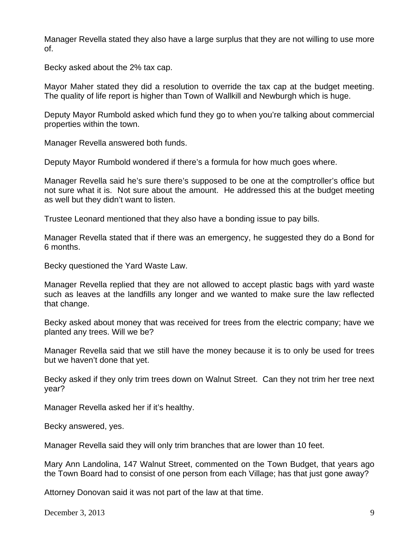Manager Revella stated they also have a large surplus that they are not willing to use more of.

Becky asked about the 2% tax cap.

Mayor Maher stated they did a resolution to override the tax cap at the budget meeting. The quality of life report is higher than Town of Wallkill and Newburgh which is huge.

Deputy Mayor Rumbold asked which fund they go to when you're talking about commercial properties within the town.

Manager Revella answered both funds.

Deputy Mayor Rumbold wondered if there's a formula for how much goes where.

Manager Revella said he's sure there's supposed to be one at the comptroller's office but not sure what it is. Not sure about the amount. He addressed this at the budget meeting as well but they didn't want to listen.

Trustee Leonard mentioned that they also have a bonding issue to pay bills.

Manager Revella stated that if there was an emergency, he suggested they do a Bond for 6 months.

Becky questioned the Yard Waste Law.

Manager Revella replied that they are not allowed to accept plastic bags with yard waste such as leaves at the landfills any longer and we wanted to make sure the law reflected that change.

Becky asked about money that was received for trees from the electric company; have we planted any trees. Will we be?

Manager Revella said that we still have the money because it is to only be used for trees but we haven't done that yet.

Becky asked if they only trim trees down on Walnut Street. Can they not trim her tree next year?

Manager Revella asked her if it's healthy.

Becky answered, yes.

Manager Revella said they will only trim branches that are lower than 10 feet.

Mary Ann Landolina, 147 Walnut Street, commented on the Town Budget, that years ago the Town Board had to consist of one person from each Village; has that just gone away?

Attorney Donovan said it was not part of the law at that time.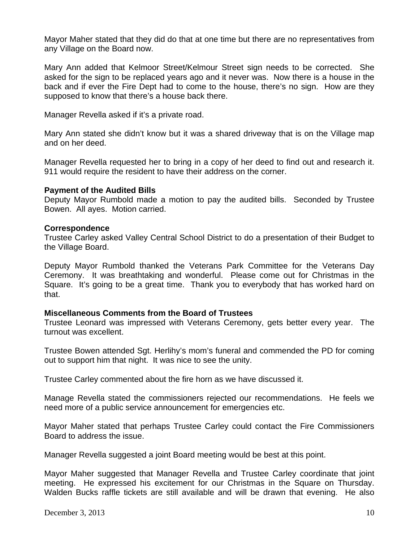Mayor Maher stated that they did do that at one time but there are no representatives from any Village on the Board now.

Mary Ann added that Kelmoor Street/Kelmour Street sign needs to be corrected. She asked for the sign to be replaced years ago and it never was. Now there is a house in the back and if ever the Fire Dept had to come to the house, there's no sign. How are they supposed to know that there's a house back there.

Manager Revella asked if it's a private road.

Mary Ann stated she didn't know but it was a shared driveway that is on the Village map and on her deed.

Manager Revella requested her to bring in a copy of her deed to find out and research it. 911 would require the resident to have their address on the corner.

#### **Payment of the Audited Bills**

Deputy Mayor Rumbold made a motion to pay the audited bills. Seconded by Trustee Bowen. All ayes. Motion carried.

#### **Correspondence**

Trustee Carley asked Valley Central School District to do a presentation of their Budget to the Village Board.

Deputy Mayor Rumbold thanked the Veterans Park Committee for the Veterans Day Ceremony. It was breathtaking and wonderful. Please come out for Christmas in the Square. It's going to be a great time. Thank you to everybody that has worked hard on that.

## **Miscellaneous Comments from the Board of Trustees**

Trustee Leonard was impressed with Veterans Ceremony, gets better every year. The turnout was excellent.

Trustee Bowen attended Sgt. Herlihy's mom's funeral and commended the PD for coming out to support him that night. It was nice to see the unity.

Trustee Carley commented about the fire horn as we have discussed it.

Manage Revella stated the commissioners rejected our recommendations. He feels we need more of a public service announcement for emergencies etc.

Mayor Maher stated that perhaps Trustee Carley could contact the Fire Commissioners Board to address the issue.

Manager Revella suggested a joint Board meeting would be best at this point.

Mayor Maher suggested that Manager Revella and Trustee Carley coordinate that joint meeting. He expressed his excitement for our Christmas in the Square on Thursday. Walden Bucks raffle tickets are still available and will be drawn that evening. He also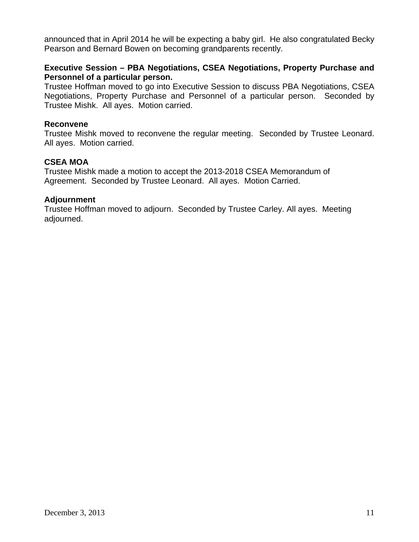announced that in April 2014 he will be expecting a baby girl. He also congratulated Becky Pearson and Bernard Bowen on becoming grandparents recently.

## **Executive Session – PBA Negotiations, CSEA Negotiations, Property Purchase and Personnel of a particular person.**

Trustee Hoffman moved to go into Executive Session to discuss PBA Negotiations, CSEA Negotiations, Property Purchase and Personnel of a particular person. Seconded by Trustee Mishk. All ayes. Motion carried.

#### **Reconvene**

Trustee Mishk moved to reconvene the regular meeting. Seconded by Trustee Leonard. All ayes. Motion carried.

## **CSEA MOA**

Trustee Mishk made a motion to accept the 2013-2018 CSEA Memorandum of Agreement. Seconded by Trustee Leonard. All ayes. Motion Carried.

#### **Adjournment**

Trustee Hoffman moved to adjourn. Seconded by Trustee Carley. All ayes. Meeting adjourned.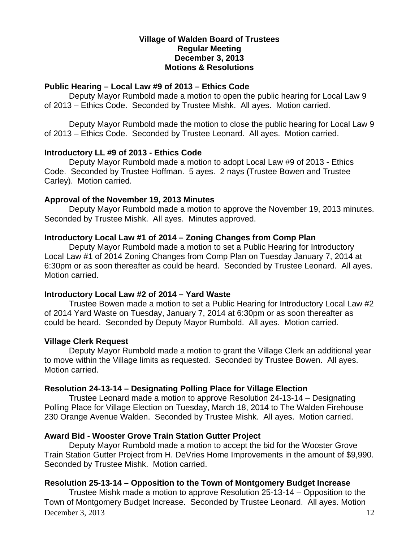#### **Village of Walden Board of Trustees Regular Meeting December 3, 2013 Motions & Resolutions**

#### **Public Hearing – Local Law #9 of 2013 – Ethics Code**

Deputy Mayor Rumbold made a motion to open the public hearing for Local Law 9 of 2013 – Ethics Code. Seconded by Trustee Mishk. All ayes. Motion carried.

Deputy Mayor Rumbold made the motion to close the public hearing for Local Law 9 of 2013 – Ethics Code. Seconded by Trustee Leonard. All ayes. Motion carried.

#### **Introductory LL #9 of 2013 - Ethics Code**

Deputy Mayor Rumbold made a motion to adopt Local Law #9 of 2013 - Ethics Code. Seconded by Trustee Hoffman. 5 ayes. 2 nays (Trustee Bowen and Trustee Carley). Motion carried.

## **Approval of the November 19, 2013 Minutes**

Deputy Mayor Rumbold made a motion to approve the November 19, 2013 minutes. Seconded by Trustee Mishk. All ayes. Minutes approved.

#### **Introductory Local Law #1 of 2014 – Zoning Changes from Comp Plan**

Deputy Mayor Rumbold made a motion to set a Public Hearing for Introductory Local Law #1 of 2014 Zoning Changes from Comp Plan on Tuesday January 7, 2014 at 6:30pm or as soon thereafter as could be heard. Seconded by Trustee Leonard. All ayes. Motion carried.

#### **Introductory Local Law #2 of 2014 – Yard Waste**

Trustee Bowen made a motion to set a Public Hearing for Introductory Local Law #2 of 2014 Yard Waste on Tuesday, January 7, 2014 at 6:30pm or as soon thereafter as could be heard. Seconded by Deputy Mayor Rumbold. All ayes. Motion carried.

## **Village Clerk Request**

Deputy Mayor Rumbold made a motion to grant the Village Clerk an additional year to move within the Village limits as requested. Seconded by Trustee Bowen. All ayes. Motion carried.

## **Resolution 24-13-14 – Designating Polling Place for Village Election**

Trustee Leonard made a motion to approve Resolution 24-13-14 – Designating Polling Place for Village Election on Tuesday, March 18, 2014 to The Walden Firehouse 230 Orange Avenue Walden. Seconded by Trustee Mishk. All ayes. Motion carried.

## **Award Bid - Wooster Grove Train Station Gutter Project**

Deputy Mayor Rumbold made a motion to accept the bid for the Wooster Grove Train Station Gutter Project from H. DeVries Home Improvements in the amount of \$9,990. Seconded by Trustee Mishk. Motion carried.

#### **Resolution 25-13-14 – Opposition to the Town of Montgomery Budget Increase**

December 3, 2013 12 Trustee Mishk made a motion to approve Resolution 25-13-14 – Opposition to the Town of Montgomery Budget Increase. Seconded by Trustee Leonard. All ayes. Motion